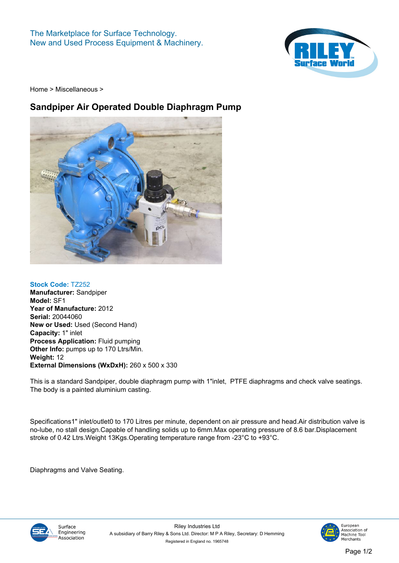**The Marketplace for Surface Technology. New and Used Process Equipment & Machinery.**



**[Home](https://www.rileysurfaceworld.co.uk) > [Miscellaneous](https://www.rileysurfaceworld.co.uk/miscellaneous.asp) >**

## **Sandpiper Air Operated Double Diaphragm Pump**



**Stock Code: TZ252 Manufacturer: Sandpiper Model: SF1 Year of Manufacture: 2012 Serial: 20044060 New or Used: Used (Second Hand) Capacity: 1" inlet Process Application: Fluid pumping Other Info: pumps up to 170 Ltrs/Min. Weight: 12**

**External Dimensions (WxDxH): 260 x 500 x 330**

**This is a standard Sandpiper, double diaphragm pump with 1"inlet, PTFE diaphragms and check valve seatings. The body is a painted aluminium casting.**

**Specifications1" inlet/outlet0 to 170 Litres per minute, dependent on air pressure and head.Air distribution valve is no-lube, no stall design.Capable of handling solids up to 6mm.Max operating pressure of 8.6 bar.Displacement stroke of 0.42 Ltrs.Weight 13Kgs.Operating temperature range from -23°C to +93°C.** 

**Diaphragms and Valve Seating.**